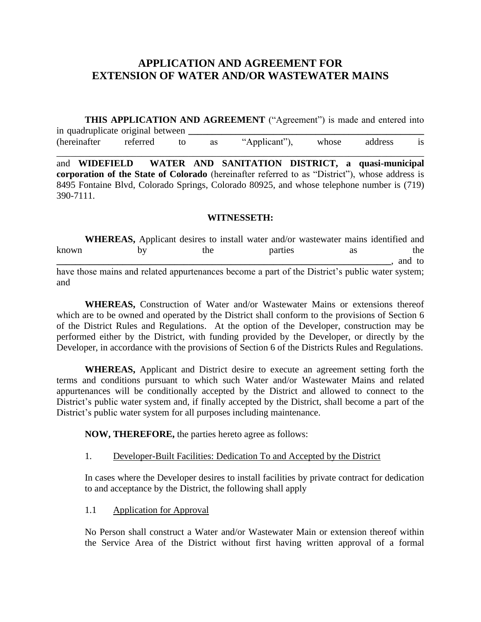# **APPLICATION AND AGREEMENT FOR EXTENSION OF WATER AND/OR WASTEWATER MAINS**

**THIS APPLICATION AND AGREEMENT** ("Agreement") is made and entered into in quadruplicate original between (hereinafter referred to as "Applicant"), whose address is

\_\_\_\_\_\_\_\_\_\_\_\_\_\_\_\_\_\_\_\_\_\_\_\_\_\_\_\_\_\_\_\_\_\_\_\_\_\_\_\_\_\_\_\_\_\_\_\_\_\_\_\_\_\_\_\_\_\_\_\_\_\_\_\_\_\_\_\_\_\_\_\_\_\_\_\_\_\_

and **WIDEFIELD WATER AND SANITATION DISTRICT, a quasi-municipal corporation of the State of Colorado** (hereinafter referred to as "District"), whose address is 8495 Fontaine Blvd, Colorado Springs, Colorado 80925, and whose telephone number is (719) 390-7111.

#### **WITNESSETH:**

**WHEREAS,** Applicant desires to install water and/or wastewater mains identified and known by the parties as the **\_\_\_\_\_\_\_\_\_\_\_\_\_\_\_\_\_\_\_\_\_\_\_\_\_\_\_\_\_\_\_\_\_\_\_\_\_\_\_\_\_\_\_\_\_\_\_\_\_\_\_\_\_\_\_\_\_\_\_\_\_\_\_\_\_\_\_\_\_\_\_**, and to have those mains and related appurtenances become a part of the District's public water system; and

**WHEREAS,** Construction of Water and/or Wastewater Mains or extensions thereof which are to be owned and operated by the District shall conform to the provisions of Section 6 of the District Rules and Regulations. At the option of the Developer, construction may be performed either by the District, with funding provided by the Developer, or directly by the Developer, in accordance with the provisions of Section 6 of the Districts Rules and Regulations.

**WHEREAS,** Applicant and District desire to execute an agreement setting forth the terms and conditions pursuant to which such Water and/or Wastewater Mains and related appurtenances will be conditionally accepted by the District and allowed to connect to the District's public water system and, if finally accepted by the District, shall become a part of the District's public water system for all purposes including maintenance.

**NOW, THEREFORE,** the parties hereto agree as follows:

#### 1. Developer-Built Facilities: Dedication To and Accepted by the District

In cases where the Developer desires to install facilities by private contract for dedication to and acceptance by the District, the following shall apply

1.1 Application for Approval

No Person shall construct a Water and/or Wastewater Main or extension thereof within the Service Area of the District without first having written approval of a formal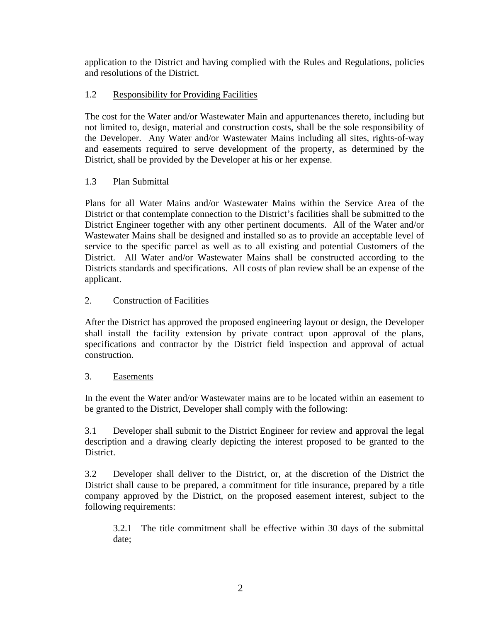application to the District and having complied with the Rules and Regulations, policies and resolutions of the District.

### 1.2 Responsibility for Providing Facilities

The cost for the Water and/or Wastewater Main and appurtenances thereto, including but not limited to, design, material and construction costs, shall be the sole responsibility of the Developer. Any Water and/or Wastewater Mains including all sites, rights-of-way and easements required to serve development of the property, as determined by the District, shall be provided by the Developer at his or her expense.

#### 1.3 Plan Submittal

Plans for all Water Mains and/or Wastewater Mains within the Service Area of the District or that contemplate connection to the District's facilities shall be submitted to the District Engineer together with any other pertinent documents. All of the Water and/or Wastewater Mains shall be designed and installed so as to provide an acceptable level of service to the specific parcel as well as to all existing and potential Customers of the District. All Water and/or Wastewater Mains shall be constructed according to the Districts standards and specifications. All costs of plan review shall be an expense of the applicant.

#### 2. Construction of Facilities

After the District has approved the proposed engineering layout or design, the Developer shall install the facility extension by private contract upon approval of the plans, specifications and contractor by the District field inspection and approval of actual construction.

#### 3. Easements

In the event the Water and/or Wastewater mains are to be located within an easement to be granted to the District, Developer shall comply with the following:

3.1 Developer shall submit to the District Engineer for review and approval the legal description and a drawing clearly depicting the interest proposed to be granted to the District.

3.2 Developer shall deliver to the District, or, at the discretion of the District the District shall cause to be prepared, a commitment for title insurance, prepared by a title company approved by the District, on the proposed easement interest, subject to the following requirements:

3.2.1 The title commitment shall be effective within 30 days of the submittal date;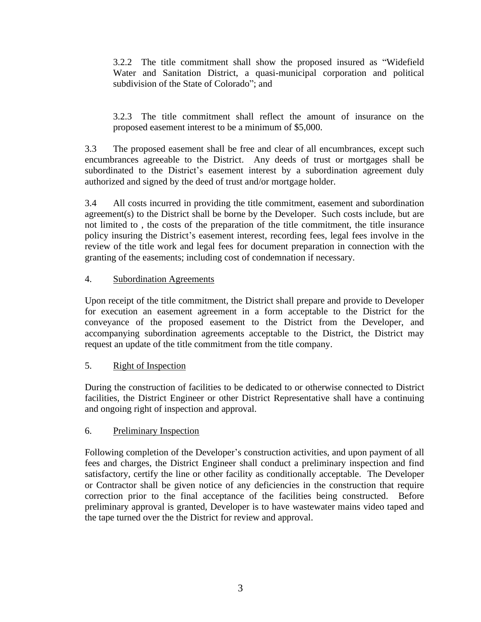3.2.2 The title commitment shall show the proposed insured as "Widefield Water and Sanitation District, a quasi-municipal corporation and political subdivision of the State of Colorado"; and

3.2.3 The title commitment shall reflect the amount of insurance on the proposed easement interest to be a minimum of \$5,000.

3.3 The proposed easement shall be free and clear of all encumbrances, except such encumbrances agreeable to the District. Any deeds of trust or mortgages shall be subordinated to the District's easement interest by a subordination agreement duly authorized and signed by the deed of trust and/or mortgage holder.

3.4 All costs incurred in providing the title commitment, easement and subordination agreement(s) to the District shall be borne by the Developer. Such costs include, but are not limited to , the costs of the preparation of the title commitment, the title insurance policy insuring the District's easement interest, recording fees, legal fees involve in the review of the title work and legal fees for document preparation in connection with the granting of the easements; including cost of condemnation if necessary.

#### 4. Subordination Agreements

Upon receipt of the title commitment, the District shall prepare and provide to Developer for execution an easement agreement in a form acceptable to the District for the conveyance of the proposed easement to the District from the Developer, and accompanying subordination agreements acceptable to the District, the District may request an update of the title commitment from the title company.

## 5. Right of Inspection

During the construction of facilities to be dedicated to or otherwise connected to District facilities, the District Engineer or other District Representative shall have a continuing and ongoing right of inspection and approval.

#### 6. Preliminary Inspection

Following completion of the Developer's construction activities, and upon payment of all fees and charges, the District Engineer shall conduct a preliminary inspection and find satisfactory, certify the line or other facility as conditionally acceptable. The Developer or Contractor shall be given notice of any deficiencies in the construction that require correction prior to the final acceptance of the facilities being constructed. Before preliminary approval is granted, Developer is to have wastewater mains video taped and the tape turned over the the District for review and approval.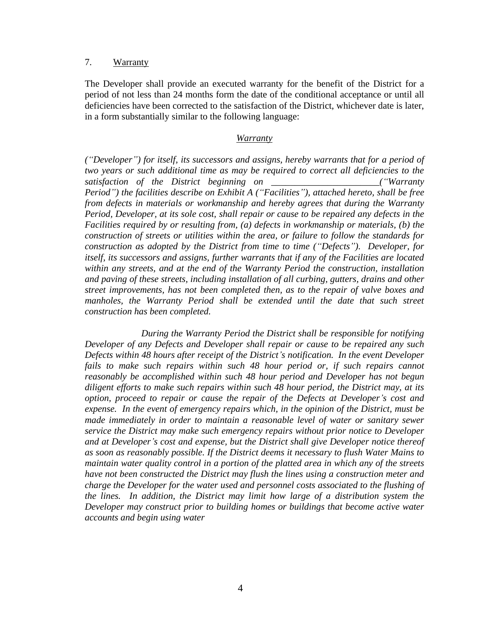#### 7. Warranty

The Developer shall provide an executed warranty for the benefit of the District for a period of not less than 24 months form the date of the conditional acceptance or until all deficiencies have been corrected to the satisfaction of the District, whichever date is later, in a form substantially similar to the following language:

#### *Warranty*

*("Developer") for itself, its successors and assigns, hereby warrants that for a period of two years or such additional time as may be required to correct all deficiencies to the satisfaction of the District beginning on \_\_\_\_\_\_\_\_\_\_\_\_\_\_\_\_\_\_\_\_\_\_\_("Warranty Period") the facilities describe on Exhibit A ("Facilities"), attached hereto, shall be free from defects in materials or workmanship and hereby agrees that during the Warranty Period, Developer, at its sole cost, shall repair or cause to be repaired any defects in the Facilities required by or resulting from, (a) defects in workmanship or materials, (b) the construction of streets or utilities within the area, or failure to follow the standards for construction as adopted by the District from time to time ("Defects"). Developer, for itself, its successors and assigns, further warrants that if any of the Facilities are located within any streets, and at the end of the Warranty Period the construction, installation and paving of these streets, including installation of all curbing, gutters, drains and other street improvements, has not been completed then, as to the repair of valve boxes and*  manholes, the Warranty Period shall be extended until the date that such street *construction has been completed.* 

*During the Warranty Period the District shall be responsible for notifying Developer of any Defects and Developer shall repair or cause to be repaired any such Defects within 48 hours after receipt of the District's notification. In the event Developer fails to make such repairs within such 48 hour period or, if such repairs cannot reasonably be accomplished within such 48 hour period and Developer has not begun diligent efforts to make such repairs within such 48 hour period, the District may, at its option, proceed to repair or cause the repair of the Defects at Developer's cost and expense. In the event of emergency repairs which, in the opinion of the District, must be made immediately in order to maintain a reasonable level of water or sanitary sewer service the District may make such emergency repairs without prior notice to Developer and at Developer's cost and expense, but the District shall give Developer notice thereof as soon as reasonably possible. If the District deems it necessary to flush Water Mains to maintain water quality control in a portion of the platted area in which any of the streets have not been constructed the District may flush the lines using a construction meter and charge the Developer for the water used and personnel costs associated to the flushing of the lines. In addition, the District may limit how large of a distribution system the Developer may construct prior to building homes or buildings that become active water accounts and begin using water*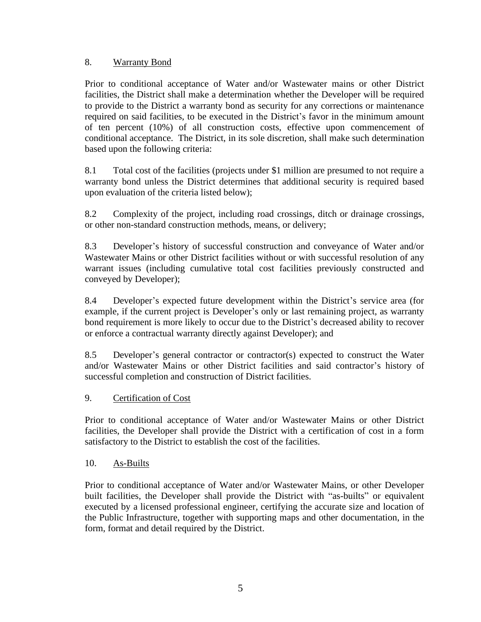#### 8. Warranty Bond

Prior to conditional acceptance of Water and/or Wastewater mains or other District facilities, the District shall make a determination whether the Developer will be required to provide to the District a warranty bond as security for any corrections or maintenance required on said facilities, to be executed in the District's favor in the minimum amount of ten percent (10%) of all construction costs, effective upon commencement of conditional acceptance. The District, in its sole discretion, shall make such determination based upon the following criteria:

8.1 Total cost of the facilities (projects under \$1 million are presumed to not require a warranty bond unless the District determines that additional security is required based upon evaluation of the criteria listed below);

8.2 Complexity of the project, including road crossings, ditch or drainage crossings, or other non-standard construction methods, means, or delivery;

8.3 Developer's history of successful construction and conveyance of Water and/or Wastewater Mains or other District facilities without or with successful resolution of any warrant issues (including cumulative total cost facilities previously constructed and conveyed by Developer);

8.4 Developer's expected future development within the District's service area (for example, if the current project is Developer's only or last remaining project, as warranty bond requirement is more likely to occur due to the District's decreased ability to recover or enforce a contractual warranty directly against Developer); and

8.5 Developer's general contractor or contractor(s) expected to construct the Water and/or Wastewater Mains or other District facilities and said contractor's history of successful completion and construction of District facilities.

#### 9. Certification of Cost

Prior to conditional acceptance of Water and/or Wastewater Mains or other District facilities, the Developer shall provide the District with a certification of cost in a form satisfactory to the District to establish the cost of the facilities.

#### 10. As-Builts

Prior to conditional acceptance of Water and/or Wastewater Mains, or other Developer built facilities, the Developer shall provide the District with "as-builts" or equivalent executed by a licensed professional engineer, certifying the accurate size and location of the Public Infrastructure, together with supporting maps and other documentation, in the form, format and detail required by the District.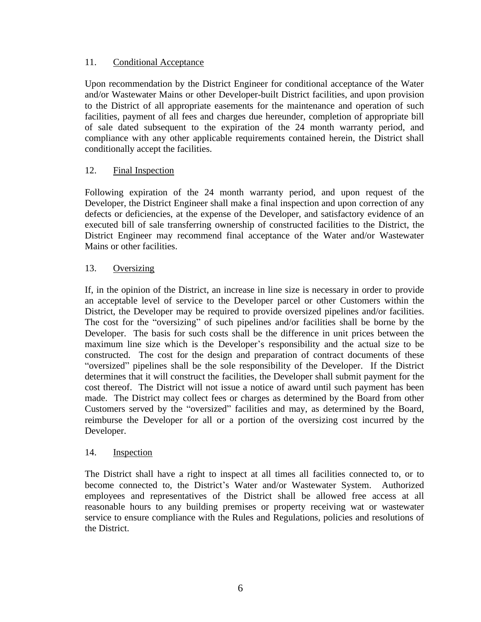#### 11. Conditional Acceptance

Upon recommendation by the District Engineer for conditional acceptance of the Water and/or Wastewater Mains or other Developer-built District facilities, and upon provision to the District of all appropriate easements for the maintenance and operation of such facilities, payment of all fees and charges due hereunder, completion of appropriate bill of sale dated subsequent to the expiration of the 24 month warranty period, and compliance with any other applicable requirements contained herein, the District shall conditionally accept the facilities.

### 12. Final Inspection

Following expiration of the 24 month warranty period, and upon request of the Developer, the District Engineer shall make a final inspection and upon correction of any defects or deficiencies, at the expense of the Developer, and satisfactory evidence of an executed bill of sale transferring ownership of constructed facilities to the District, the District Engineer may recommend final acceptance of the Water and/or Wastewater Mains or other facilities.

#### 13. Oversizing

If, in the opinion of the District, an increase in line size is necessary in order to provide an acceptable level of service to the Developer parcel or other Customers within the District, the Developer may be required to provide oversized pipelines and/or facilities. The cost for the "oversizing" of such pipelines and/or facilities shall be borne by the Developer. The basis for such costs shall be the difference in unit prices between the maximum line size which is the Developer's responsibility and the actual size to be constructed. The cost for the design and preparation of contract documents of these "oversized" pipelines shall be the sole responsibility of the Developer. If the District determines that it will construct the facilities, the Developer shall submit payment for the cost thereof. The District will not issue a notice of award until such payment has been made. The District may collect fees or charges as determined by the Board from other Customers served by the "oversized" facilities and may, as determined by the Board, reimburse the Developer for all or a portion of the oversizing cost incurred by the Developer.

#### 14. Inspection

The District shall have a right to inspect at all times all facilities connected to, or to become connected to, the District's Water and/or Wastewater System. Authorized employees and representatives of the District shall be allowed free access at all reasonable hours to any building premises or property receiving wat or wastewater service to ensure compliance with the Rules and Regulations, policies and resolutions of the District.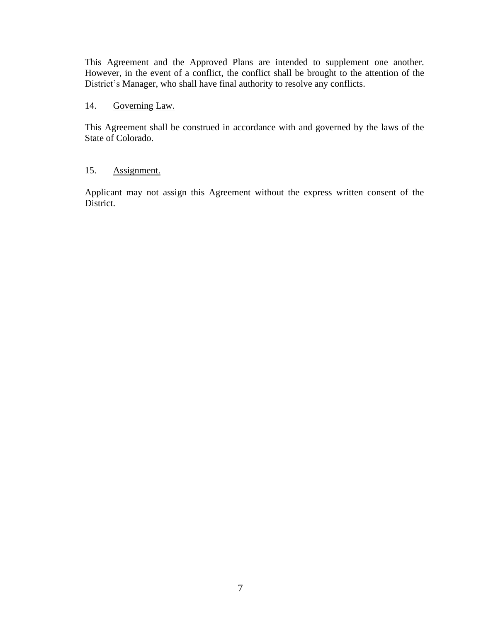This Agreement and the Approved Plans are intended to supplement one another. However, in the event of a conflict, the conflict shall be brought to the attention of the District's Manager, who shall have final authority to resolve any conflicts.

#### 14. Governing Law.

This Agreement shall be construed in accordance with and governed by the laws of the State of Colorado.

#### 15. Assignment.

Applicant may not assign this Agreement without the express written consent of the District.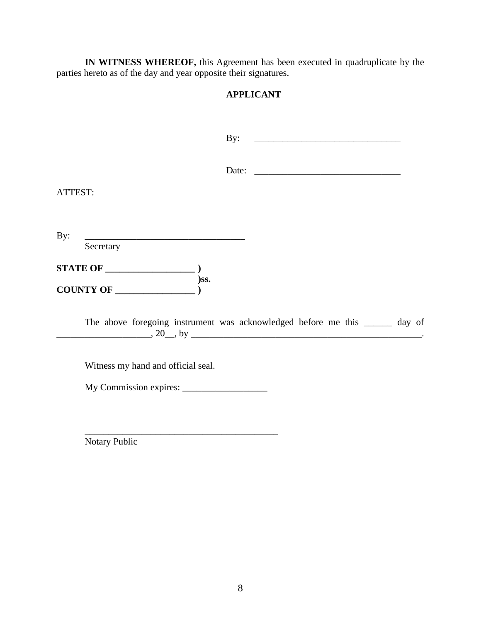**IN WITNESS WHEREOF,** this Agreement has been executed in quadruplicate by the parties hereto as of the day and year opposite their signatures.

## **APPLICANT**

|                                                                              | By: |  |  |
|------------------------------------------------------------------------------|-----|--|--|
|                                                                              |     |  |  |
| ATTEST:                                                                      |     |  |  |
| By:                                                                          |     |  |  |
| Secretary                                                                    |     |  |  |
|                                                                              |     |  |  |
| The above foregoing instrument was acknowledged before me this ______ day of |     |  |  |
| Witness my hand and official seal.                                           |     |  |  |
|                                                                              |     |  |  |
|                                                                              |     |  |  |

Notary Public

\_\_\_\_\_\_\_\_\_\_\_\_\_\_\_\_\_\_\_\_\_\_\_\_\_\_\_\_\_\_\_\_\_\_\_\_\_\_\_\_\_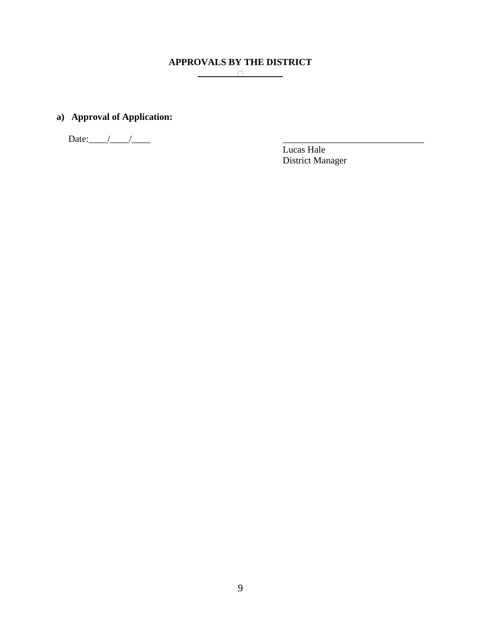# **APPROVALS BY THE DISTRICT**

## **a) Approval of Application:**

Date:\_\_\_\_/\_\_\_\_/\_\_\_\_ \_\_\_\_\_\_\_\_\_\_\_\_\_\_\_\_\_\_\_\_\_\_\_\_\_\_\_\_\_\_

Lucas Hale District Manager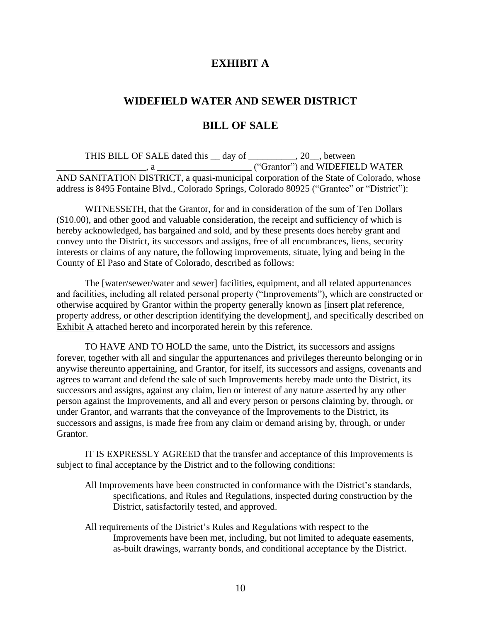## **EXHIBIT A**

## **WIDEFIELD WATER AND SEWER DISTRICT**

#### **BILL OF SALE**

THIS BILL OF SALE dated this  $\_\_$  day of  $\_\_$ , 20, between \_\_\_\_\_\_\_\_\_\_\_\_\_\_\_\_\_\_\_, a \_\_\_\_\_\_\_\_\_\_\_\_\_\_\_\_\_\_\_\_ ("Grantor") and WIDEFIELD WATER AND SANITATION DISTRICT, a quasi-municipal corporation of the State of Colorado, whose address is 8495 Fontaine Blvd., Colorado Springs, Colorado 80925 ("Grantee" or "District"):

WITNESSETH, that the Grantor, for and in consideration of the sum of Ten Dollars (\$10.00), and other good and valuable consideration, the receipt and sufficiency of which is hereby acknowledged, has bargained and sold, and by these presents does hereby grant and convey unto the District, its successors and assigns, free of all encumbrances, liens, security interests or claims of any nature, the following improvements, situate, lying and being in the County of El Paso and State of Colorado, described as follows:

The [water/sewer/water and sewer] facilities, equipment, and all related appurtenances and facilities, including all related personal property ("Improvements"), which are constructed or otherwise acquired by Grantor within the property generally known as [insert plat reference, property address, or other description identifying the development], and specifically described on Exhibit A attached hereto and incorporated herein by this reference.

TO HAVE AND TO HOLD the same, unto the District, its successors and assigns forever, together with all and singular the appurtenances and privileges thereunto belonging or in anywise thereunto appertaining, and Grantor, for itself, its successors and assigns, covenants and agrees to warrant and defend the sale of such Improvements hereby made unto the District, its successors and assigns, against any claim, lien or interest of any nature asserted by any other person against the Improvements, and all and every person or persons claiming by, through, or under Grantor, and warrants that the conveyance of the Improvements to the District, its successors and assigns, is made free from any claim or demand arising by, through, or under Grantor.

IT IS EXPRESSLY AGREED that the transfer and acceptance of this Improvements is subject to final acceptance by the District and to the following conditions:

- All Improvements have been constructed in conformance with the District's standards, specifications, and Rules and Regulations, inspected during construction by the District, satisfactorily tested, and approved.
- All requirements of the District's Rules and Regulations with respect to the Improvements have been met, including, but not limited to adequate easements, as-built drawings, warranty bonds, and conditional acceptance by the District.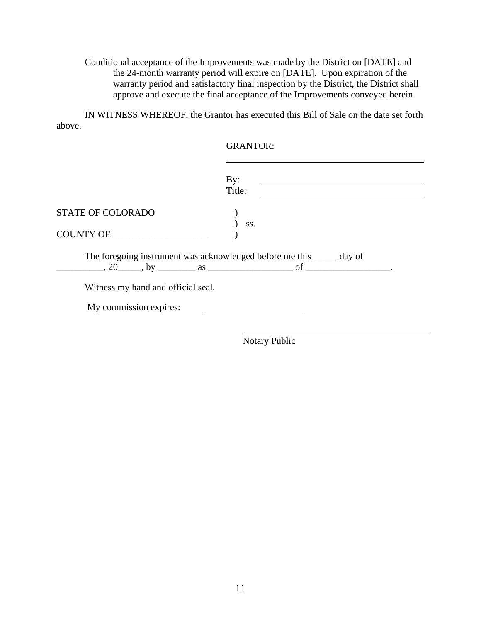Conditional acceptance of the Improvements was made by the District on [DATE] and the 24-month warranty period will expire on [DATE]. Upon expiration of the warranty period and satisfactory final inspection by the District, the District shall approve and execute the final acceptance of the Improvements conveyed herein.

IN WITNESS WHEREOF, the Grantor has executed this Bill of Sale on the date set forth above.

|                                    | <b>GRANTOR:</b>                                                                                                                        |
|------------------------------------|----------------------------------------------------------------------------------------------------------------------------------------|
|                                    | By:<br><u> 1980 - Johann Barbara, martin amerikan basar dan basa dan basa dan basa dan basa dan basa dan basa dan basa d</u><br>Title: |
| <b>STATE OF COLORADO</b>           | SS.                                                                                                                                    |
| COUNTY OF                          |                                                                                                                                        |
| Witness my hand and official seal. | The foregoing instrument was acknowledged before me this ______ day of<br>$\ldots$ , 20 $\ldots$ , by $\ldots$ as $\ldots$ of $\ldots$ |
| My commission expires:             |                                                                                                                                        |
|                                    |                                                                                                                                        |

Notary Public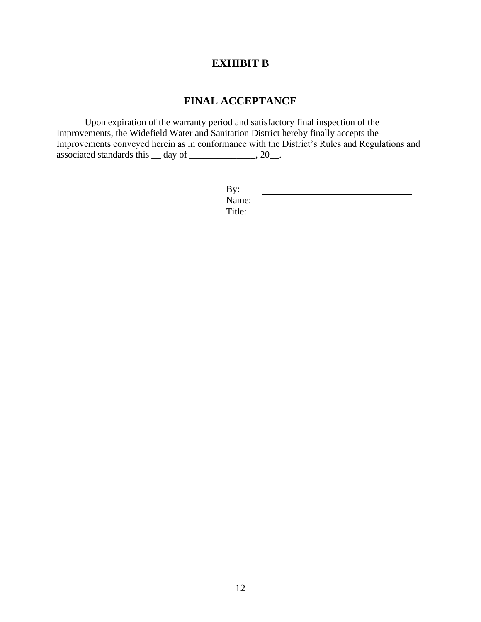# **EXHIBIT B**

# **FINAL ACCEPTANCE**

Upon expiration of the warranty period and satisfactory final inspection of the Improvements, the Widefield Water and Sanitation District hereby finally accepts the Improvements conveyed herein as in conformance with the District's Rules and Regulations and associated standards this  $\_\_$  day of  $\_\_$ 

| By:    |  |
|--------|--|
| Name:  |  |
| Title: |  |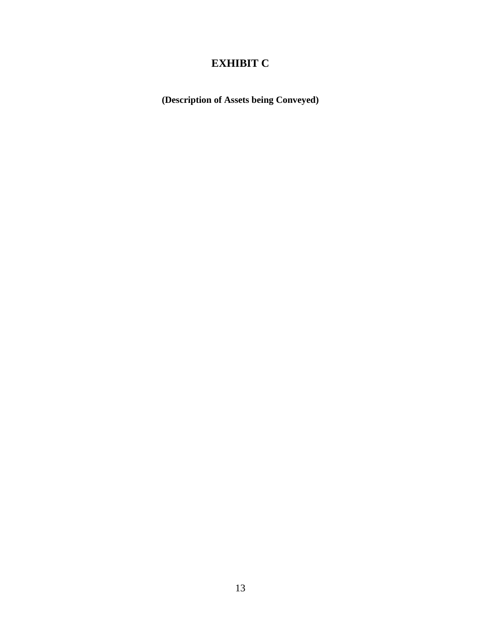# **EXHIBIT C**

**(Description of Assets being Conveyed)**